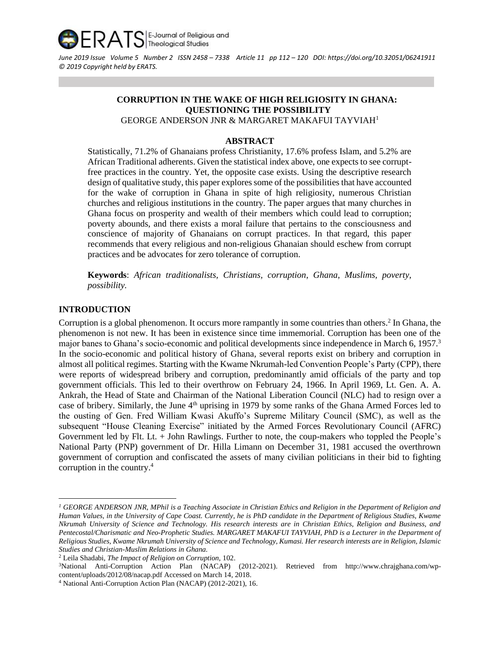

*June 2019 Issue Volume 5 Number 2 ISSN 2458 – 7338 Article 11 pp 112 – 120 DOI: <https://doi.org/10.32051/06241911> © 2019 Copyright held by ERATS.*

### **CORRUPTION IN THE WAKE OF HIGH RELIGIOSITY IN GHANA: QUESTIONING THE POSSIBILITY**  GEORGE ANDERSON JNR & MARGARET MAKAFUI TAYVIAH<sup>1</sup>

#### **ABSTRACT**

Statistically, 71.2% of Ghanaians profess Christianity, 17.6% profess Islam, and 5.2% are African Traditional adherents. Given the statistical index above, one expects to see corruptfree practices in the country. Yet, the opposite case exists. Using the descriptive research design of qualitative study, this paper explores some of the possibilities that have accounted for the wake of corruption in Ghana in spite of high religiosity, numerous Christian churches and religious institutions in the country. The paper argues that many churches in Ghana focus on prosperity and wealth of their members which could lead to corruption; poverty abounds, and there exists a moral failure that pertains to the consciousness and conscience of majority of Ghanaians on corrupt practices. In that regard, this paper recommends that every religious and non-religious Ghanaian should eschew from corrupt practices and be advocates for zero tolerance of corruption.

**Keywords**: *African traditionalists, Christians, corruption*, *Ghana*, *Muslims, poverty, possibility.* 

## **INTRODUCTION**

Corruption is a global phenomenon. It occurs more rampantly in some countries than others.<sup>2</sup> In Ghana, the phenomenon is not new. It has been in existence since time immemorial. Corruption has been one of the major banes to Ghana's socio-economic and political developments since independence in March 6, 1957.<sup>3</sup> In the socio-economic and political history of Ghana, several reports exist on bribery and corruption in almost all political regimes. Starting with the Kwame Nkrumah-led Convention People's Party (CPP), there were reports of widespread bribery and corruption, predominantly amid officials of the party and top government officials. This led to their overthrow on February 24, 1966. In April 1969, Lt. Gen. A. A. Ankrah, the Head of State and Chairman of the National Liberation Council (NLC) had to resign over a case of bribery. Similarly, the June 4<sup>th</sup> uprising in 1979 by some ranks of the Ghana Armed Forces led to the ousting of Gen. Fred William Kwasi Akuffo's Supreme Military Council (SMC), as well as the subsequent "House Cleaning Exercise" initiated by the Armed Forces Revolutionary Council (AFRC) Government led by Flt. Lt. + John Rawlings. Further to note, the coup-makers who toppled the People's National Party (PNP) government of Dr. Hilla Limann on December 31, 1981 accused the overthrown government of corruption and confiscated the assets of many civilian politicians in their bid to fighting corruption in the country.<sup>4</sup>

*<sup>1</sup> GEORGE ANDERSON JNR, MPhil is a Teaching Associate in Christian Ethics and Religion in the Department of Religion and Human Values, in the University of Cape Coast. Currently, he is PhD candidate in the Department of Religious Studies, Kwame Nkrumah University of Science and Technology. His research interests are in Christian Ethics, Religion and Business, and Pentecostal/Charismatic and Neo-Prophetic Studies. MARGARET MAKAFUI TAYVIAH, PhD is a Lecturer in the Department of Religious Studies, Kwame Nkrumah University of Science and Technology, Kumasi. Her research interests are in Religion, Islamic Studies and Christian-Muslim Relations in Ghana.*

<sup>2</sup> Leila Shadabi, *The Impact of Religion on Corruption,* 102.

<sup>3</sup>National Anti-Corruption Action Plan (NACAP) (2012-2021). Retrieved from [http://www.chrajghana.com/wp](http://www.chrajghana.com/wp-content/uploads/2012/08/nacap.pdf%20Accessed%20on%20March%2014)[content/uploads/2012/08/nacap.pdf Accessed on March 14,](http://www.chrajghana.com/wp-content/uploads/2012/08/nacap.pdf%20Accessed%20on%20March%2014) 2018.

<sup>4</sup> National Anti-Corruption Action Plan (NACAP) (2012-2021), 16.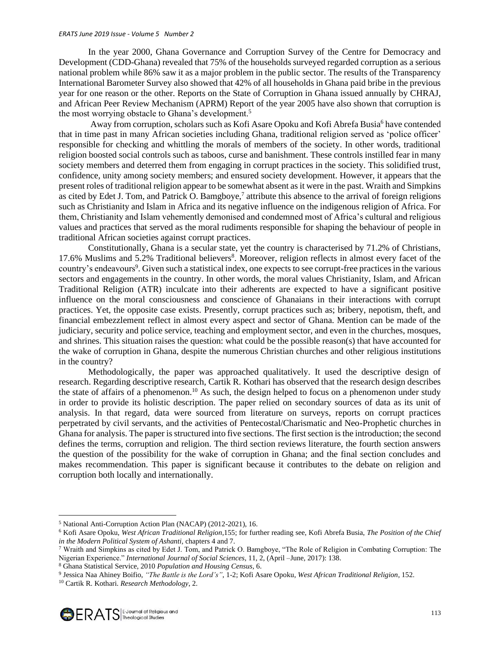#### *ERATS June 2019 Issue - Volume 5 Number 2*

In the year 2000, Ghana Governance and Corruption Survey of the Centre for Democracy and Development (CDD-Ghana) revealed that 75% of the households surveyed regarded corruption as a serious national problem while 86% saw it as a major problem in the public sector. The results of the Transparency International Barometer Survey also showed that 42% of all households in Ghana paid bribe in the previous year for one reason or the other. Reports on the State of Corruption in Ghana issued annually by CHRAJ, and African Peer Review Mechanism (APRM) Report of the year 2005 have also shown that corruption is the most worrying obstacle to Ghana's development.<sup>5</sup>

Away from corruption, scholars such as Kofi Asare Opoku and Kofi Abrefa Busia<sup>6</sup> have contended that in time past in many African societies including Ghana, traditional religion served as 'police officer' responsible for checking and whittling the morals of members of the society. In other words, traditional religion boosted social controls such as taboos, curse and banishment. These controls instilled fear in many society members and deterred them from engaging in corrupt practices in the society. This solidified trust, confidence, unity among society members; and ensured society development. However, it appears that the present roles of traditional religion appear to be somewhat absent as it were in the past. Wraith and Simpkins as cited by Edet J. Tom, and Patrick O. Bamgboye,<sup>7</sup> attribute this absence to the arrival of foreign religions such as Christianity and Islam in Africa and its negative influence on the indigenous religion of Africa. For them, Christianity and Islam vehemently demonised and condemned most of Africa's cultural and religious values and practices that served as the moral rudiments responsible for shaping the behaviour of people in traditional African societies against corrupt practices.

Constitutionally, Ghana is a secular state, yet the country is characterised by 71.2% of Christians, 17.6% Muslims and 5.2% Traditional believers<sup>8</sup>. Moreover, religion reflects in almost every facet of the country's endeavours<sup>9</sup>. Given such a statistical index, one expects to see corrupt-free practices in the various sectors and engagements in the country. In other words, the moral values Christianity, Islam, and African Traditional Religion (ATR) inculcate into their adherents are expected to have a significant positive influence on the moral consciousness and conscience of Ghanaians in their interactions with corrupt practices. Yet, the opposite case exists. Presently, corrupt practices such as; bribery, nepotism, theft, and financial embezzlement reflect in almost every aspect and sector of Ghana. Mention can be made of the judiciary, security and police service, teaching and employment sector, and even in the churches, mosques, and shrines. This situation raises the question: what could be the possible reason(s) that have accounted for the wake of corruption in Ghana, despite the numerous Christian churches and other religious institutions in the country?

Methodologically, the paper was approached qualitatively. It used the descriptive design of research. Regarding descriptive research, Cartik R. Kothari has observed that the research design describes the state of affairs of a phenomenon.<sup>10</sup> As such, the design helped to focus on a phenomenon under study in order to provide its holistic description. The paper relied on secondary sources of data as its unit of analysis. In that regard, data were sourced from literature on surveys, reports on corrupt practices perpetrated by civil servants, and the activities of Pentecostal/Charismatic and Neo-Prophetic churches in Ghana for analysis. The paper is structured into five sections. The first section is the introduction; the second defines the terms, corruption and religion. The third section reviews literature, the fourth section answers the question of the possibility for the wake of corruption in Ghana; and the final section concludes and makes recommendation. This paper is significant because it contributes to the debate on religion and corruption both locally and internationally.

<sup>5</sup> National Anti-Corruption Action Plan (NACAP) (2012-2021), 16.

<sup>6</sup> Kofi Asare Opoku, *West African Traditional Religion*,155; for further reading see, Kofi Abrefa Busia, *The Position of the Chief in the Modern Political System of Ashanti,* chapters 4 and 7.

<sup>7</sup> Wraith and Simpkins as cited by Edet J. Tom, and Patrick O. Bamgboye, "The Role of Religion in Combating Corruption: The Nigerian Experience." *International Journal of Social Sciences*, 11, 2, (April –June, 2017): 138.

<sup>8</sup> Ghana Statistical Service, 2010 *Population and Housing Census,* 6.

<sup>9</sup> Jessica Naa Ahiney Boifio, *"The Battle is the Lord's"*, 1-2; Kofi Asare Opoku, *West African Traditional Religion*, 152.

<sup>10</sup> Cartik R. Kothari. *Research Methodology*, 2.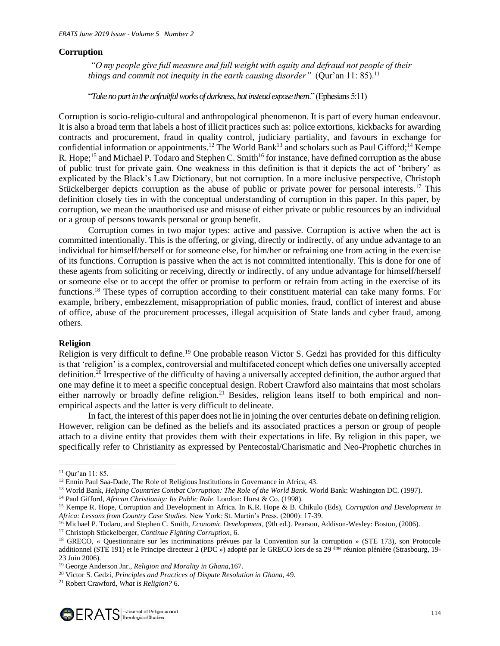### **Corruption**

*"O my people give full measure and full weight with equity and defraud not people of their things and commit not inequity in the earth causing disorder" (Qur'an 11: 85).*<sup>11</sup>

"*Take no part in the unfruitful works of darkness, but instead expose them*." (Ephesians 5:11)

Corruption is socio-religio-cultural and anthropological phenomenon. It is part of every human endeavour. It is also a broad term that labels a host of illicit practices such as: police extortions, kickbacks for awarding contracts and procurement, fraud in quality control, judiciary partiality, and favours in exchange for confidential information or appointments.<sup>12</sup> The World Bank<sup>13</sup> and scholars such as Paul Gifford;<sup>14</sup> Kempe R. Hope;<sup>15</sup> and Michael P. Todaro and Stephen C. Smith<sup>16</sup> for instance, have defined corruption as the abuse of public trust for private gain. One weakness in this definition is that it depicts the act of 'bribery' as explicated by the Black's Law Dictionary, but not corruption. In a more inclusive perspective, Christoph Stückelberger depicts corruption as the abuse of public or private power for personal interests.<sup>17</sup> This definition closely ties in with the conceptual understanding of corruption in this paper. In this paper, by corruption, we mean the unauthorised use and misuse of either private or public resources by an individual or a group of persons towards personal or group benefit.

Corruption comes in two major types: active and passive. Corruption is active when the act is committed intentionally. This is the offering, or giving, directly or indirectly, of any undue advantage to an individual for himself/herself or for someone else, for him/her or refraining one from acting in the exercise of its functions. Corruption is passive when the act is not committed intentionally. This is done for one of these agents from soliciting or receiving, directly or indirectly, of any undue advantage for himself/herself or someone else or to accept the offer or promise to perform or refrain from acting in the exercise of its functions.<sup>18</sup> These types of corruption according to their constituent material can take many forms. For example, bribery, embezzlement, misappropriation of public monies, fraud, conflict of interest and abuse of office, abuse of the procurement processes, illegal acquisition of State lands and cyber fraud, among others.

#### **Religion**

Religion is very difficult to define.<sup>19</sup> One probable reason Victor S. Gedzi has provided for this difficulty is that 'religion' is a complex, controversial and multifaceted concept which defies one universally accepted definition.<sup>20</sup> Irrespective of the difficulty of having a universally accepted definition, the author argued that one may define it to meet a specific conceptual design. Robert Crawford also maintains that most scholars either narrowly or broadly define religion.<sup>21</sup> Besides, religion leans itself to both empirical and nonempirical aspects and the latter is very difficult to delineate.

In fact, the interest of this paper does not lie in joining the over centuries debate on defining religion. However, religion can be defined as the beliefs and its associated practices a person or group of people attach to a divine entity that provides them with their expectations in life. By religion in this paper, we specifically refer to Christianity as expressed by Pentecostal/Charismatic and Neo-Prophetic churches in

<sup>17</sup> Christoph Stückelberger, *Continue Fighting Corruption*, 6.

<sup>21</sup> Robert Crawford, *What is Religion?* 6.



<sup>11</sup> Qur'an 11: 85.

<sup>&</sup>lt;sup>12</sup> Ennin Paul Saa-Dade, The Role of Religious Institutions in Governance in Africa, 43.

<sup>13</sup> World Bank, *Helping Countries Combat Corruption: The Role of the World Bank*. World Bank: Washington DC. (1997).

<sup>14</sup> Paul Gifford, *African Christianity: Its Public Role*. London: Hurst & Co. (1998).

<sup>15</sup> Kempe R. Hope, Corruption and Development in Africa. In K.R. Hope & B. Chikulo (Eds), *Corruption and Development in Africa: Lessons from Country Case Studies*. New York: St. Martin's Press. (2000): 17-39.

<sup>16</sup> Michael P. Todaro, and Stephen C. Smith, *Economic Development,* (9th ed.). Pearson, Addison-Wesley: Boston, (2006).

<sup>&</sup>lt;sup>18</sup> GRECO, « Questionnaire sur les incriminations prévues par la Convention sur la corruption » (STE 173), son Protocole additionnel (STE 191) et le Principe directeur 2 (PDC ») adopté par le GRECO lors de sa 29 ème réunion plénière (Strasbourg, 19- 23 Juin 2006).

<sup>19</sup> George Anderson Jnr., *Religion and Morality in Ghana,*167.

<sup>20</sup> Victor S. Gedzi, *Principles and Practices of Dispute Resolution in Ghana,* 49.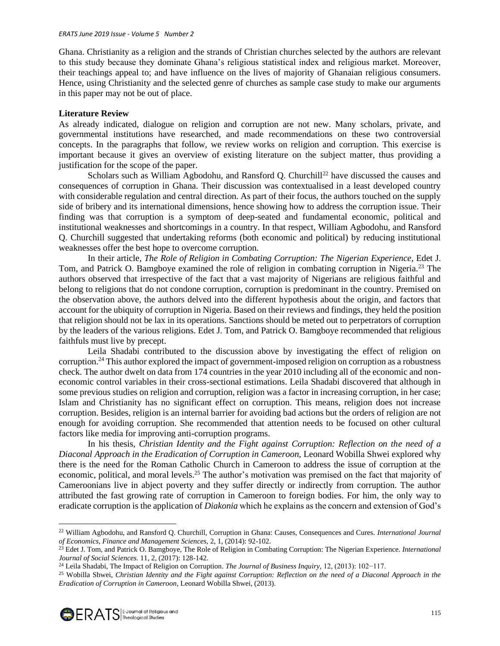Ghana. Christianity as a religion and the strands of Christian churches selected by the authors are relevant to this study because they dominate Ghana's religious statistical index and religious market. Moreover, their teachings appeal to; and have influence on the lives of majority of Ghanaian religious consumers. Hence, using Christianity and the selected genre of churches as sample case study to make our arguments in this paper may not be out of place.

#### **Literature Review**

As already indicated, dialogue on religion and corruption are not new. Many scholars, private, and governmental institutions have researched, and made recommendations on these two controversial concepts. In the paragraphs that follow, we review works on religion and corruption. This exercise is important because it gives an overview of existing literature on the subject matter, thus providing a justification for the scope of the paper.

Scholars such as William Agbodohu, and Ransford Q. Churchill<sup>22</sup> have discussed the causes and consequences of corruption in Ghana. Their discussion was contextualised in a least developed country with considerable regulation and central direction. As part of their focus, the authors touched on the supply side of bribery and its international dimensions, hence showing how to address the corruption issue. Their finding was that corruption is a symptom of deep-seated and fundamental economic, political and institutional weaknesses and shortcomings in a country. In that respect, William Agbodohu, and Ransford Q. Churchill suggested that undertaking reforms (both economic and political) by reducing institutional weaknesses offer the best hope to overcome corruption.

In their article, *The Role of Religion in Combating Corruption: The Nigerian Experience*, Edet J. Tom, and Patrick O. Bamgboye examined the role of religion in combating corruption in Nigeria.<sup>23</sup> The authors observed that irrespective of the fact that a vast majority of Nigerians are religious faithful and belong to religions that do not condone corruption, corruption is predominant in the country. Premised on the observation above, the authors delved into the different hypothesis about the origin, and factors that account for the ubiquity of corruption in Nigeria. Based on their reviews and findings, they held the position that religion should not be lax in its operations. Sanctions should be meted out to perpetrators of corruption by the leaders of the various religions. Edet J. Tom, and Patrick O. Bamgboye recommended that religious faithfuls must live by precept.

Leila Shadabi contributed to the discussion above by investigating the effect of religion on corruption.<sup>24</sup> This author explored the impact of government-imposed religion on corruption as a robustness check. The author dwelt on data from 174 countries in the year 2010 including all of the economic and noneconomic control variables in their cross-sectional estimations. Leila Shadabi discovered that although in some previous studies on religion and corruption, religion was a factor in increasing corruption, in her case; Islam and Christianity has no significant effect on corruption. This means, religion does not increase corruption. Besides, religion is an internal barrier for avoiding bad actions but the orders of religion are not enough for avoiding corruption. She recommended that attention needs to be focused on other cultural factors like media for improving anti-corruption programs.

In his thesis, *Christian Identity and the Fight against Corruption: Reflection on the need of a Diaconal Approach in the Eradication of Corruption in Cameroon,* Leonard Wobilla Shwei explored why there is the need for the Roman Catholic Church in Cameroon to address the issue of corruption at the economic, political, and moral levels.<sup>25</sup> The author's motivation was premised on the fact that majority of Cameroonians live in abject poverty and they suffer directly or indirectly from corruption. The author attributed the fast growing rate of corruption in Cameroon to foreign bodies. For him, the only way to eradicate corruption is the application of *Diakonia* which he explains as the concern and extension of God's

<sup>22</sup> William Agbodohu, and Ransford Q. Churchill, Corruption in Ghana: Causes, Consequences and Cures. *International Journal of Economics, Finance and Management Sciences,* 2, 1, (2014): 92-102.

<sup>23</sup> Edet J. Tom, and Patrick O. Bamgboye, The Role of Religion in Combating Corruption: The Nigerian Experience. *International Journal of Social Sciences.* 11, 2, (2017): 128-142.

<sup>24</sup> Leila Shadabi, The Impact of Religion on Corruption. *The Journal of Business Inquiry,* 12, (2013): 102−117.

<sup>25</sup> Wobilla Shwei, *Christian Identity and the Fight against Corruption: Reflection on the need of a Diaconal Approach in the Eradication of Corruption in Cameroon,* Leonard Wobilla Shwei, (2013).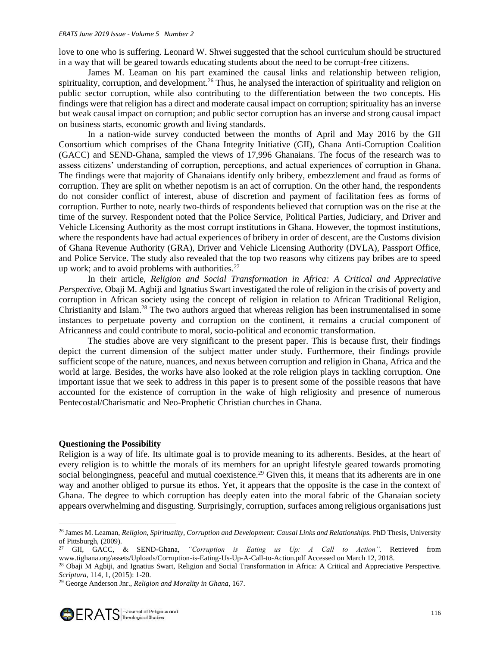love to one who is suffering. Leonard W. Shwei suggested that the school curriculum should be structured in a way that will be geared towards educating students about the need to be corrupt-free citizens.

James M. Leaman on his part examined the causal links and relationship between religion, spirituality, corruption, and development.<sup>26</sup> Thus, he analysed the interaction of spirituality and religion on public sector corruption, while also contributing to the differentiation between the two concepts. His findings were that religion has a direct and moderate causal impact on corruption; spirituality has an inverse but weak causal impact on corruption; and public sector corruption has an inverse and strong causal impact on business starts, economic growth and living standards.

In a nation-wide survey conducted between the months of April and May 2016 by the GII Consortium which comprises of the Ghana Integrity Initiative (GII), Ghana Anti-Corruption Coalition (GACC) and SEND-Ghana, sampled the views of 17,996 Ghanaians. The focus of the research was to assess citizens' understanding of corruption, perceptions, and actual experiences of corruption in Ghana. The findings were that majority of Ghanaians identify only bribery, embezzlement and fraud as forms of corruption. They are split on whether nepotism is an act of corruption. On the other hand, the respondents do not consider conflict of interest, abuse of discretion and payment of facilitation fees as forms of corruption. Further to note, nearly two-thirds of respondents believed that corruption was on the rise at the time of the survey. Respondent noted that the Police Service, Political Parties, Judiciary, and Driver and Vehicle Licensing Authority as the most corrupt institutions in Ghana. However, the topmost institutions, where the respondents have had actual experiences of bribery in order of descent, are the Customs division of Ghana Revenue Authority (GRA), Driver and Vehicle Licensing Authority (DVLA), Passport Office, and Police Service. The study also revealed that the top two reasons why citizens pay bribes are to speed up work; and to avoid problems with authorities. $27$ 

In their article, *Religion and Social Transformation in Africa: A Critical and Appreciative Perspective*, Obaji M. Agbiji and Ignatius Swart investigated the role of religion in the crisis of poverty and corruption in African society using the concept of religion in relation to African Traditional Religion, Christianity and Islam.<sup>28</sup> The two authors argued that whereas religion has been instrumentalised in some instances to perpetuate poverty and corruption on the continent, it remains a crucial component of Africanness and could contribute to moral, socio-political and economic transformation.

The studies above are very significant to the present paper. This is because first, their findings depict the current dimension of the subject matter under study. Furthermore, their findings provide sufficient scope of the nature, nuances, and nexus between corruption and religion in Ghana, Africa and the world at large. Besides, the works have also looked at the role religion plays in tackling corruption. One important issue that we seek to address in this paper is to present some of the possible reasons that have accounted for the existence of corruption in the wake of high religiosity and presence of numerous Pentecostal/Charismatic and Neo-Prophetic Christian churches in Ghana.

### **Questioning the Possibility**

Religion is a way of life. Its ultimate goal is to provide meaning to its adherents. Besides, at the heart of every religion is to whittle the morals of its members for an upright lifestyle geared towards promoting social belongingness, peaceful and mutual coexistence.<sup>29</sup> Given this, it means that its adherents are in one way and another obliged to pursue its ethos. Yet, it appears that the opposite is the case in the context of Ghana. The degree to which corruption has deeply eaten into the moral fabric of the Ghanaian society appears overwhelming and disgusting. Surprisingly, corruption, surfaces among religious organisations just

<sup>&</sup>lt;sup>26</sup> James M. Leaman, *Religion, Spirituality, Corruption and Development: Causal Links and Relationships. PhD Thesis, University* of Pittsburgh, (2009).

<sup>27</sup> GII, GACC, & SEND-Ghana, *"Corruption is Eating us Up: A Call to Action"*. Retrieved from [www.tighana.org/assets/Uploads/Corruption-is-Eating-Us-Up-A-Call-to-Action.pdf](http://www.tighana.org/assets/Uploads/Corruption-is-Eating-Us-Up-A-Call-to-Action.pdf) Accessed on March 12, 2018.

<sup>&</sup>lt;sup>28</sup> Obaji M Agbiji, and Ignatius Swart, Religion and Social Transformation in Africa: A Critical and Appreciative Perspective. *Scriptura,* 114, 1, (2015): 1-20.

<sup>29</sup> George Anderson Jnr., *Religion and Morality in Ghana,* 167.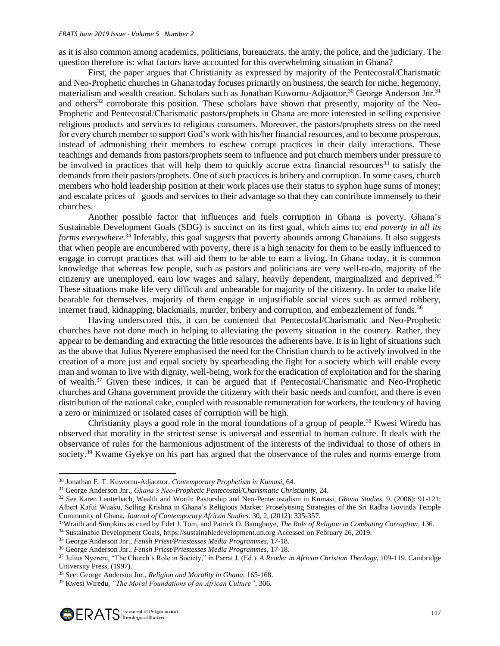as it is also common among academics, politicians, bureaucrats, the army, the police, and the judiciary. The question therefore is: what factors have accounted for this overwhelming situation in Ghana?

First, the paper argues that Christianity as expressed by majority of the Pentecostal/Charismatic and Neo-Prophetic churches in Ghana today focuses primarily on business, the search for niche, hegemony, materialism and wealth creation. Scholars such as Jonathan Kuwornu-Adjaottor,<sup>30</sup> George Anderson Jnr.<sup>31</sup> and others<sup>32</sup> corroborate this position. These scholars have shown that presently, majority of the Neo-Prophetic and Pentecostal/Charismatic pastors/prophets in Ghana are more interested in selling expensive religious products and services to religious consumers. Moreover, the pastors/prophets stress on the need for every church member to support God's work with his/her financial resources, and to become prosperous, instead of admonishing their members to eschew corrupt practices in their daily interactions. These teachings and demands from pastors/prophets seem to influence and put church members under pressure to be involved in practices that will help them to quickly accrue extra financial resources<sup>33</sup> to satisfy the demands from their pastors/prophets. One of such practices is bribery and corruption. In some cases, church members who hold leadership position at their work places use their status to syphon huge sums of money; and escalate prices of goods and services to their advantage so that they can contribute immensely to their churches.

Another possible factor that influences and fuels corruption in Ghana is poverty. Ghana's Sustainable Development Goals (SDG) is succinct on its first goal, which aims to; *end poverty in all its forms everywhere.*<sup>34</sup> Inferably, this goal suggests that poverty abounds among Ghanaians. It also suggests that when people are encumbered with poverty, there is a high tenacity for them to be easily influenced to engage in corrupt practices that will aid them to be able to earn a living. In Ghana today, it is common knowledge that whereas few people, such as pastors and politicians are very well-to-do, majority of the citizenry are unemployed, earn low wages and salary, heavily dependent, marginalized and deprived.<sup>35</sup> These situations make life very difficult and unbearable for majority of the citizenry. In order to make life bearable for themselves, majority of them engage in unjustifiable social vices such as armed robbery, internet fraud, kidnapping, blackmails, murder, bribery and corruption, and embezzlement of funds.<sup>36</sup>

Having underscored this, it can be contented that Pentecostal/Charismatic and Neo-Prophetic churches have not done much in helping to alleviating the poverty situation in the country. Rather, they appear to be demanding and extracting the little resources the adherents have. It is in light of situations such as the above that Julius Nyerere emphasised the need for the Christian church to be actively involved in the creation of a more just and equal society by spearheading the fight for a society which will enable every man and woman to live with dignity, well-being, work for the eradication of exploitation and for the sharing of wealth.<sup>37</sup> Given these indices, it can be argued that if Pentecostal/Charismatic and Neo-Prophetic churches and Ghana government provide the citizenry with their basic needs and comfort, and there is even distribution of the national cake, coupled with reasonable remuneration for workers, the tendency of having a zero or minimized or isolated cases of corruption will be high.

Christianity plays a good role in the moral foundations of a group of people.<sup>38</sup> Kwesi Wiredu has observed that morality in the strictest sense is universal and essential to human culture. It deals with the observance of rules for the harmonious adjustment of the interests of the individual to those of others in society.<sup>39</sup> Kwame Gyekye on his part has argued that the observance of the rules and norms emerge from

<sup>30</sup> Jonathan E. T. Kuwornu-Adjaottor, *Contemporary Prophetism in Kumasi,* 64.

<sup>31</sup> George Anderson Jnr., *Ghana's Neo-Prophetic Pentecostal/Charismatic Christianity,* 24.

<sup>32</sup> See Karen Lauterbach, Wealth and Worth: Pastorship and Neo-Pentecostalism in Kumasi, *Ghana Studies*, 9, (2006): 91-121; Albert Kafui Wuaku, Selling Krishna in Ghana's Religious Market: Proselytising Strategies of the Sri Radha Govinda Temple Community of Ghana. *Journal of Contemporary African Studies*. 30, 2, (2012): 335-357.

<sup>33</sup>Wraith and Simpkins as cited by Edet J. Tom, and Patrick O. Bamgboye, *The Role of Religion in Combating Corruption,* 136.

<sup>34</sup> Sustainable Development Goals, [https://sustainabledevelopment.un.org](https://sustainabledevelopment.un.org/) Accessed on February 26, 2019.

<sup>35</sup> George Anderson Jnr., *Fetish Priest/Priestesses Media Programmes,* 17-18.

<sup>36</sup> George Anderson Jnr., *Fetish Priest/Priestesses Media Programmes,* 17-18.

<sup>37</sup> Julius Nyerere, "The Church's Role in Society," in Parrat J. (Ed.). *A Reader in African Christian Theology,* 109-119. Cambridge University Press, (1997).

<sup>38</sup> See: George Anderson Jnr., *Religion and Morality in Ghana,* 165-168.

<sup>39</sup> Kwesi Wiredu, *"The Moral Foundations of an African Culture"*, 306.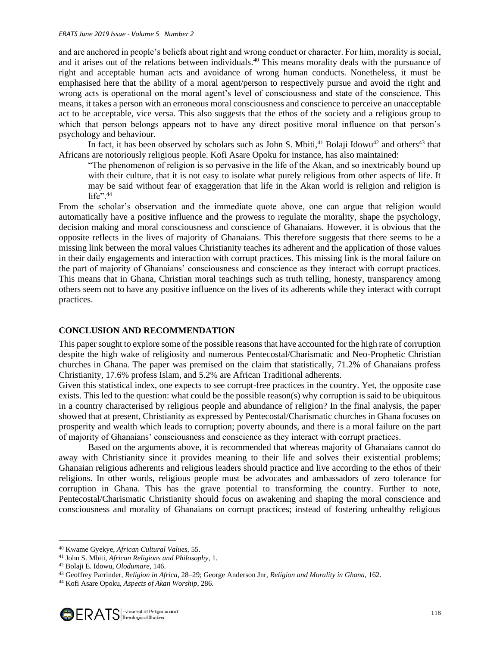and are anchored in people's beliefs about right and wrong conduct or character. For him, morality is social, and it arises out of the relations between individuals.<sup>40</sup> This means morality deals with the pursuance of right and acceptable human acts and avoidance of wrong human conducts. Nonetheless, it must be emphasised here that the ability of a moral agent/person to respectively pursue and avoid the right and wrong acts is operational on the moral agent's level of consciousness and state of the conscience. This means, it takes a person with an erroneous moral consciousness and conscience to perceive an unacceptable act to be acceptable, vice versa. This also suggests that the ethos of the society and a religious group to which that person belongs appears not to have any direct positive moral influence on that person's psychology and behaviour.

In fact, it has been observed by scholars such as John S. Mbiti,  $41$  Bolaji Idowu $42$  and others<sup>43</sup> that Africans are notoriously religious people. Kofi Asare Opoku for instance, has also maintained:

"The phenomenon of religion is so pervasive in the life of the Akan, and so inextricably bound up with their culture, that it is not easy to isolate what purely religious from other aspects of life. It may be said without fear of exaggeration that life in the Akan world is religion and religion is life". $44$ 

From the scholar's observation and the immediate quote above, one can argue that religion would automatically have a positive influence and the prowess to regulate the morality, shape the psychology, decision making and moral consciousness and conscience of Ghanaians. However, it is obvious that the opposite reflects in the lives of majority of Ghanaians. This therefore suggests that there seems to be a missing link between the moral values Christianity teaches its adherent and the application of those values in their daily engagements and interaction with corrupt practices. This missing link is the moral failure on the part of majority of Ghanaians' consciousness and conscience as they interact with corrupt practices. This means that in Ghana, Christian moral teachings such as truth telling, honesty, transparency among others seem not to have any positive influence on the lives of its adherents while they interact with corrupt practices.

#### **CONCLUSION AND RECOMMENDATION**

This paper sought to explore some of the possible reasons that have accounted for the high rate of corruption despite the high wake of religiosity and numerous Pentecostal/Charismatic and Neo-Prophetic Christian churches in Ghana. The paper was premised on the claim that statistically, 71.2% of Ghanaians profess Christianity, 17.6% profess Islam, and 5.2% are African Traditional adherents.

Given this statistical index, one expects to see corrupt-free practices in the country. Yet, the opposite case exists. This led to the question: what could be the possible reason(s) why corruption is said to be ubiquitous in a country characterised by religious people and abundance of religion? In the final analysis, the paper showed that at present, Christianity as expressed by Pentecostal/Charismatic churches in Ghana focuses on prosperity and wealth which leads to corruption; poverty abounds, and there is a moral failure on the part of majority of Ghanaians' consciousness and conscience as they interact with corrupt practices.

Based on the arguments above, it is recommended that whereas majority of Ghanaians cannot do away with Christianity since it provides meaning to their life and solves their existential problems; Ghanaian religious adherents and religious leaders should practice and live according to the ethos of their religions. In other words, religious people must be advocates and ambassadors of zero tolerance for corruption in Ghana. This has the grave potential to transforming the country. Further to note, Pentecostal/Charismatic Christianity should focus on awakening and shaping the moral conscience and consciousness and morality of Ghanaians on corrupt practices; instead of fostering unhealthy religious

<sup>40</sup> Kwame Gyekye, *African Cultural Values,* 55.

<sup>41</sup> John S. Mbiti, *African Religions and Philosophy*, 1.

<sup>42</sup> Bolaji E. Idowu, *Olodumare,* 146.

<sup>43</sup> Geoffrey Parrinder, *Religion in Africa*, 28–29; George Anderson Jnr, *Religion and Morality in Ghana,* 162.

<sup>44</sup> Kofi Asare Opoku, *Aspects of Akan Worship*, 286.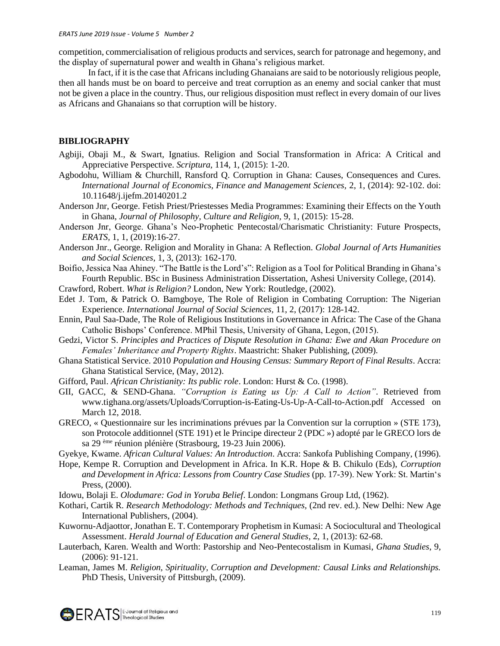competition, commercialisation of religious products and services, search for patronage and hegemony, and the display of supernatural power and wealth in Ghana's religious market.

In fact, if it is the case that Africans including Ghanaians are said to be notoriously religious people, then all hands must be on board to perceive and treat corruption as an enemy and social canker that must not be given a place in the country. Thus, our religious disposition must reflect in every domain of our lives as Africans and Ghanaians so that corruption will be history.

# **BIBLIOGRAPHY**

- Agbiji, Obaji M., & Swart, Ignatius. Religion and Social Transformation in Africa: A Critical and Appreciative Perspective. *Scriptura,* 114, 1, (2015): 1-20.
- Agbodohu, William & Churchill, Ransford Q. Corruption in Ghana: Causes, Consequences and Cures. *International Journal of Economics, Finance and Management Sciences,* 2, 1, (2014): 92-102. doi: 10.11648/j.ijefm.20140201.2
- Anderson Jnr, George. Fetish Priest/Priestesses Media Programmes: Examining their Effects on the Youth in Ghana, *Journal of Philosophy, Culture and Religion,* 9, 1, (2015): 15-28.
- Anderson Jnr, George. Ghana's Neo-Prophetic Pentecostal/Charismatic Christianity: Future Prospects, *ERATS,* 1, 1, (2019):16-27.
- Anderson Jnr., George. Religion and Morality in Ghana: A Reflection. *Global Journal of Arts Humanities and Social Sciences*, 1, 3, (2013): 162-170.
- Boifio, Jessica Naa Ahiney. "The Battle is the Lord's": Religion as a Tool for Political Branding in Ghana's Fourth Republic. BSc in Business Administration Dissertation, Ashesi University College, (2014).
- Crawford, Robert. *What is Religion?* London, New York: Routledge, (2002).
- Edet J. Tom, & Patrick O. Bamgboye, The Role of Religion in Combating Corruption: The Nigerian Experience. *International Journal of Social Sciences,* 11, 2, (2017): 128-142.
- Ennin, Paul Saa-Dade, The Role of Religious Institutions in Governance in Africa: The Case of the Ghana Catholic Bishops' Conference. MPhil Thesis, University of Ghana, Legon, (2015).
- Gedzi, Victor S. *Principles and Practices of Dispute Resolution in Ghana: Ewe and Akan Procedure on Females' Inheritance and Property Rights*. Maastricht: Shaker Publishing, (2009).
- Ghana Statistical Service. 2010 *Population and Housing Census: Summary Report of Final Results*. Accra: Ghana Statistical Service, (May, 2012).
- Gifford, Paul. *African Christianity: Its public role*. London: Hurst & Co. (1998).
- GII, GACC, & SEND-Ghana. *"Corruption is Eating us Up: A Call to Action"*. Retrieved from [www.tighana.org/assets/Uploads/Corruption-is-Eating-Us-Up-A-Call-to-Action.pdf](http://www.tighana.org/assets/Uploads/Corruption-is-Eating-Us-Up-A-Call-to-Action.pdf) Accessed on March 12, 2018.
- GRECO, « Questionnaire sur les incriminations prévues par la Convention sur la corruption » (STE 173), son Protocole additionnel (STE 191) et le Principe directeur 2 (PDC ») adopté par le GRECO lors de sa 29 ème réunion plénière (Strasbourg, 19-23 Juin 2006).
- Gyekye, Kwame. *African Cultural Values: An Introduction*. Accra: Sankofa Publishing Company, (1996).
- Hope, Kempe R. Corruption and Development in Africa. In K.R. Hope & B. Chikulo (Eds), *Corruption and Development in Africa: Lessons from Country Case Studies* (pp. 17-39). New York: St. Martin's Press, (2000).
- Idowu, Bolaji E. *Olodumare: God in Yoruba Belief*. London: Longmans Group Ltd, (1962).
- Kothari, Cartik R. *Research Methodology: Methods and Techniques,* (2nd rev. ed.). New Delhi: New Age International Publishers, (2004).
- Kuwornu-Adjaottor, Jonathan E. T. Contemporary Prophetism in Kumasi: A Sociocultural and Theological Assessment. *Herald Journal of Education and General Studies*, 2, 1, (2013): 62-68.
- Lauterbach, Karen. Wealth and Worth: Pastorship and Neo-Pentecostalism in Kumasi, *Ghana Studies*, 9, (2006): 91-121.
- Leaman, James M. *Religion, Spirituality, Corruption and Development: Causal Links and Relationships.*  PhD Thesis, University of Pittsburgh, (2009).